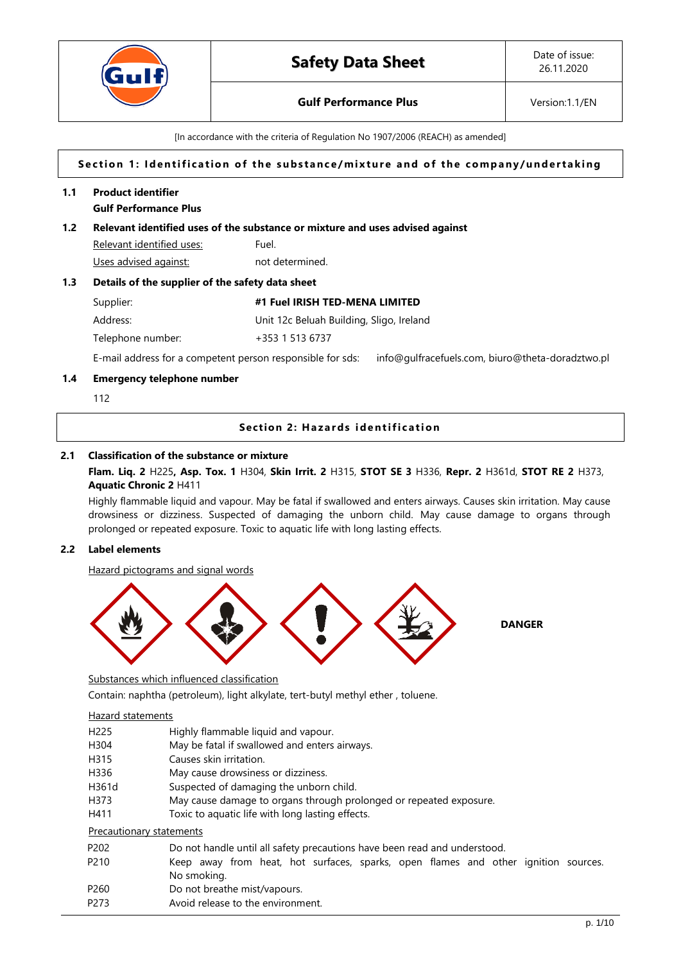

# **Gulf Performance Plus Version:1.1/EN**

[In accordance with the criteria of Regulation No 1907/2006 (REACH) as amended]

## Section 1: Identification of the substance/mixture and of the company/undertaking

## **1.1 Product identifier Gulf Performance Plus**

## **1.2 Relevant identified uses of the substance or mixture and uses advised against**

Relevant identified uses: Fuel. Uses advised against: not determined.

#### **1.3 Details of the supplier of the safety data sheet**

Supplier: **#1 Fuel IRISH TED-MENA LIMITED**

Address: Unit 12c Beluah Building, Sligo, Ireland

Telephone number: +353 1 513 6737

E-mail address for a competent person responsible for sds: info@gulfracefuels.com, biuro@theta-doradztwo.pl

## **1.4 Emergency telephone number**

112

## **Section 2: Hazards identification**

## **2.1 Classification of the substance or mixture**

## **Flam. Liq. 2** H225**, Asp. Tox. 1** H304, **Skin Irrit. 2** H315, **STOT SE 3** H336, **Repr. 2** H361d, **STOT RE 2** H373, **Aquatic Chronic 2** H411

Highly flammable liquid and vapour. May be fatal if swallowed and enters airways. Causes skin irritation. May cause drowsiness or dizziness. Suspected of damaging the unborn child. May cause damage to organs through prolonged or repeated exposure. Toxic to aquatic life with long lasting effects.

## **2.2 Label elements**

Hazard pictograms and signal words



**DANGER**

Substances which influenced classification

Contain: naphtha (petroleum), light alkylate, tert-butyl methyl ether , toluene.

## Hazard statements

| H <sub>225</sub>         | Highly flammable liquid and vapour.                                                |
|--------------------------|------------------------------------------------------------------------------------|
| H304                     | May be fatal if swallowed and enters airways.                                      |
| H315                     | Causes skin irritation.                                                            |
| H336                     | May cause drowsiness or dizziness.                                                 |
| H361d                    | Suspected of damaging the unborn child.                                            |
| H373                     | May cause damage to organs through prolonged or repeated exposure.                 |
| H411                     | Toxic to aquatic life with long lasting effects.                                   |
| Precautionary statements |                                                                                    |
| P <sub>202</sub>         | Do not handle until all safety precautions have been read and understood.          |
| P <sub>210</sub>         | Keep away from heat, hot surfaces, sparks, open flames and other ignition sources. |
|                          | No smoking.                                                                        |
| P <sub>260</sub>         | Do not breathe mist/vapours.                                                       |
| P <sub>273</sub>         | Avoid release to the environment.                                                  |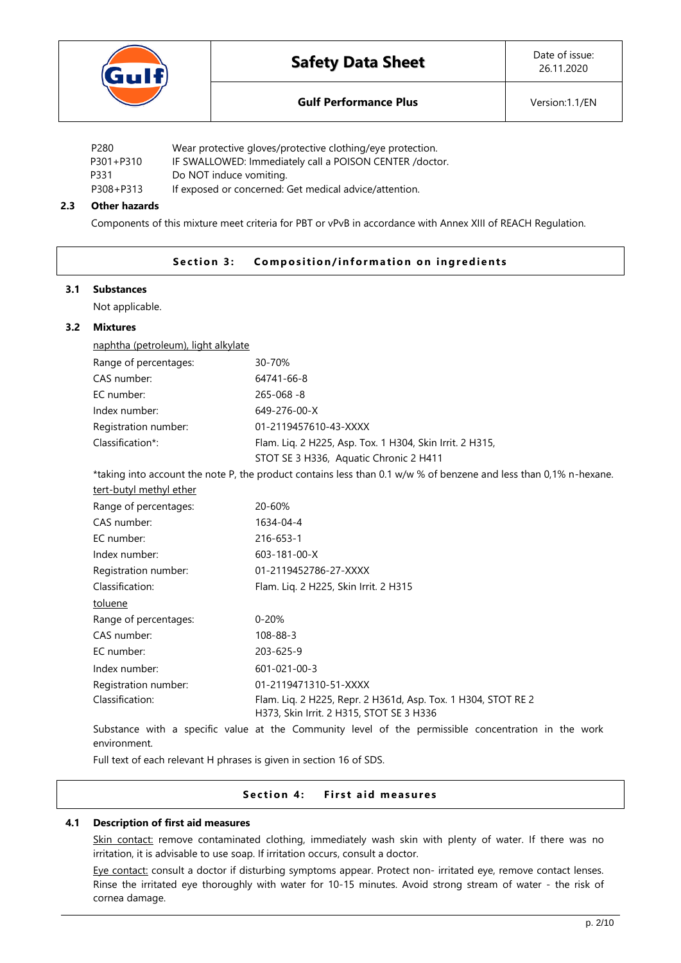

| P280      | Wear protective gloves/protective clothing/eye protection. |
|-----------|------------------------------------------------------------|
| P301+P310 | IF SWALLOWED: Immediately call a POISON CENTER /doctor.    |
| P331      | Do NOT induce vomiting.                                    |
| P308+P313 | If exposed or concerned: Get medical advice/attention.     |

## **2.3 Other hazards**

Components of this mixture meet criteria for PBT or vPvB in accordance with Annex XIII of REACH Regulation.

## **Section 3:** Composition/information on ingredients

#### **3.1 Substances**

Not applicable.

# **3.2 Mixtures** naphtha (petroleum), light alkylate

| <u>Hapitula (petroleani), light alivelate</u> |                                                                                                               |
|-----------------------------------------------|---------------------------------------------------------------------------------------------------------------|
| Range of percentages:                         | 30-70%                                                                                                        |
| CAS number:                                   | 64741-66-8                                                                                                    |
| EC number:                                    | $265 - 068 - 8$                                                                                               |
| Index number:                                 | 649-276-00-X                                                                                                  |
| Registration number:                          | 01-2119457610-43-XXXX                                                                                         |
| Classification*:                              | Flam. Lig. 2 H225, Asp. Tox. 1 H304, Skin Irrit. 2 H315,                                                      |
|                                               | STOT SE 3 H336, Aquatic Chronic 2 H411                                                                        |
|                                               | taking into account the note P the product contains less than 0.1 w/w % of henzene and less than 0.1% n-heyer |

taking into account the note P, the product contains less than 0.1 w/w % of benzene and less than 0,1% n-hexane.

# tert-butyl methyl ether

| Range of percentages: | 20-60%                                                                                                    |
|-----------------------|-----------------------------------------------------------------------------------------------------------|
| CAS number:           | 1634-04-4                                                                                                 |
| EC number:            | 216-653-1                                                                                                 |
| Index number:         | $603 - 181 - 00 - X$                                                                                      |
| Registration number:  | 01-2119452786-27-XXXX                                                                                     |
| Classification:       | Flam. Lig. 2 H225, Skin Irrit. 2 H315                                                                     |
| toluene               |                                                                                                           |
| Range of percentages: | $0 - 20%$                                                                                                 |
| CAS number:           | $108 - 88 - 3$                                                                                            |
| EC number:            | 203-625-9                                                                                                 |
| Index number:         | $601 - 021 - 00 - 3$                                                                                      |
| Registration number:  | 01-2119471310-51-XXXX                                                                                     |
| Classification:       | Flam. Lig. 2 H225, Repr. 2 H361d, Asp. Tox. 1 H304, STOT RE 2<br>H373, Skin Irrit. 2 H315, STOT SE 3 H336 |

Substance with a specific value at the Community level of the permissible concentration in the work environment.

Full text of each relevant H phrases is given in section 16 of SDS.

## **Section 4:** First aid measures

## **4.1 Description of first aid measures**

Skin contact: remove contaminated clothing, immediately wash skin with plenty of water. If there was no irritation, it is advisable to use soap. If irritation occurs, consult a doctor.

Eye contact: consult a doctor if disturbing symptoms appear. Protect non- irritated eye, remove contact lenses. Rinse the irritated eye thoroughly with water for 10-15 minutes. Avoid strong stream of water - the risk of cornea damage.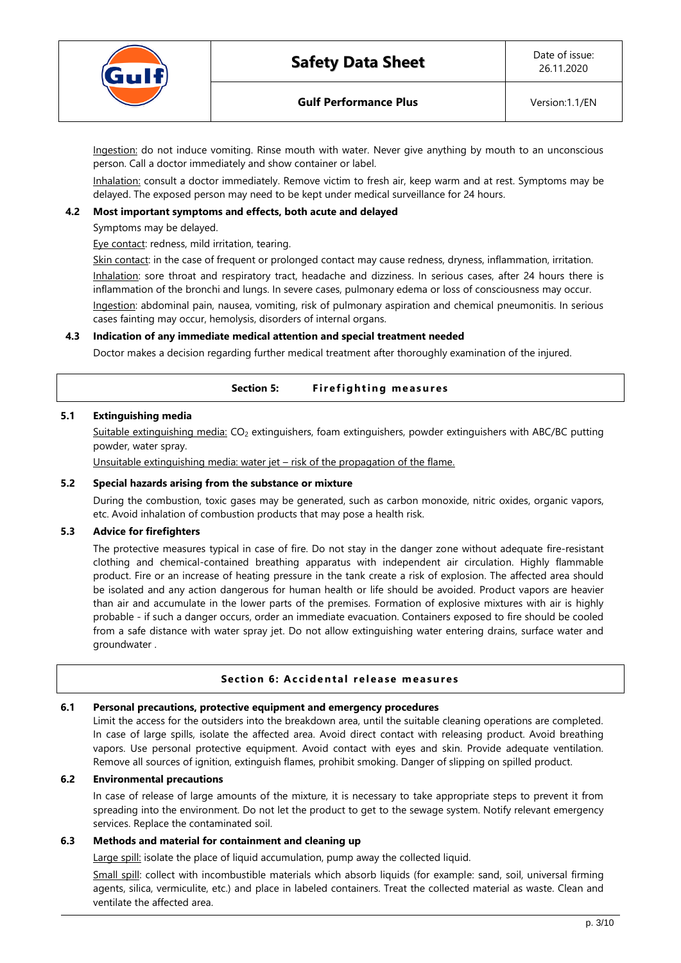

Ingestion: do not induce vomiting. Rinse mouth with water. Never give anything by mouth to an unconscious person. Call a doctor immediately and show container or label.

Inhalation: consult a doctor immediately. Remove victim to fresh air, keep warm and at rest. Symptoms may be delayed. The exposed person may need to be kept under medical surveillance for 24 hours.

## **4.2 Most important symptoms and effects, both acute and delayed**

Symptoms may be delayed.

Eye contact: redness, mild irritation, tearing.

Skin contact: in the case of frequent or prolonged contact may cause redness, dryness, inflammation, irritation.

Inhalation: sore throat and respiratory tract, headache and dizziness. In serious cases, after 24 hours there is inflammation of the bronchi and lungs. In severe cases, pulmonary edema or loss of consciousness may occur. Ingestion: abdominal pain, nausea, vomiting, risk of pulmonary aspiration and chemical pneumonitis. In serious cases fainting may occur, hemolysis, disorders of internal organs.

## **4.3 Indication of any immediate medical attention and special treatment needed**

Doctor makes a decision regarding further medical treatment after thoroughly examination of the injured.

| <b>Section 5:</b> | <b>Firefighting measures</b> |  |
|-------------------|------------------------------|--|
|-------------------|------------------------------|--|

## **5.1 Extinguishing media**

Suitable extinguishing media: CO<sup>2</sup> extinguishers, foam extinguishers, powder extinguishers with ABC/BC putting powder, water spray.

Unsuitable extinguishing media: water jet – risk of the propagation of the flame.

## **5.2 Special hazards arising from the substance or mixture**

During the combustion, toxic gases may be generated, such as carbon monoxide, nitric oxides, organic vapors, etc. Avoid inhalation of combustion products that may pose a health risk.

## **5.3 Advice for firefighters**

The protective measures typical in case of fire. Do not stay in the danger zone without adequate fire-resistant clothing and chemical-contained breathing apparatus with independent air circulation. Highly flammable product. Fire or an increase of heating pressure in the tank create a risk of explosion. The affected area should be isolated and any action dangerous for human health or life should be avoided. Product vapors are heavier than air and accumulate in the lower parts of the premises. Formation of explosive mixtures with air is highly probable - if such a danger occurs, order an immediate evacuation. Containers exposed to fire should be cooled from a safe distance with water spray jet. Do not allow extinguishing water entering drains, surface water and groundwater .

## **Section 6: Accidental release measures**

## **6.1 Personal precautions, protective equipment and emergency procedures**

Limit the access for the outsiders into the breakdown area, until the suitable cleaning operations are completed. In case of large spills, isolate the affected area. Avoid direct contact with releasing product. Avoid breathing vapors. Use personal protective equipment. Avoid contact with eyes and skin. Provide adequate ventilation. Remove all sources of ignition, extinguish flames, prohibit smoking. Danger of slipping on spilled product.

## **6.2 Environmental precautions**

In case of release of large amounts of the mixture, it is necessary to take appropriate steps to prevent it from spreading into the environment. Do not let the product to get to the sewage system. Notify relevant emergency services. Replace the contaminated soil.

## **6.3 Methods and material for containment and cleaning up**

Large spill: isolate the place of liquid accumulation, pump away the collected liquid.

Small spill: collect with incombustible materials which absorb liquids (for example: sand, soil, universal firming agents, silica, vermiculite, etc.) and place in labeled containers. Treat the collected material as waste. Clean and ventilate the affected area.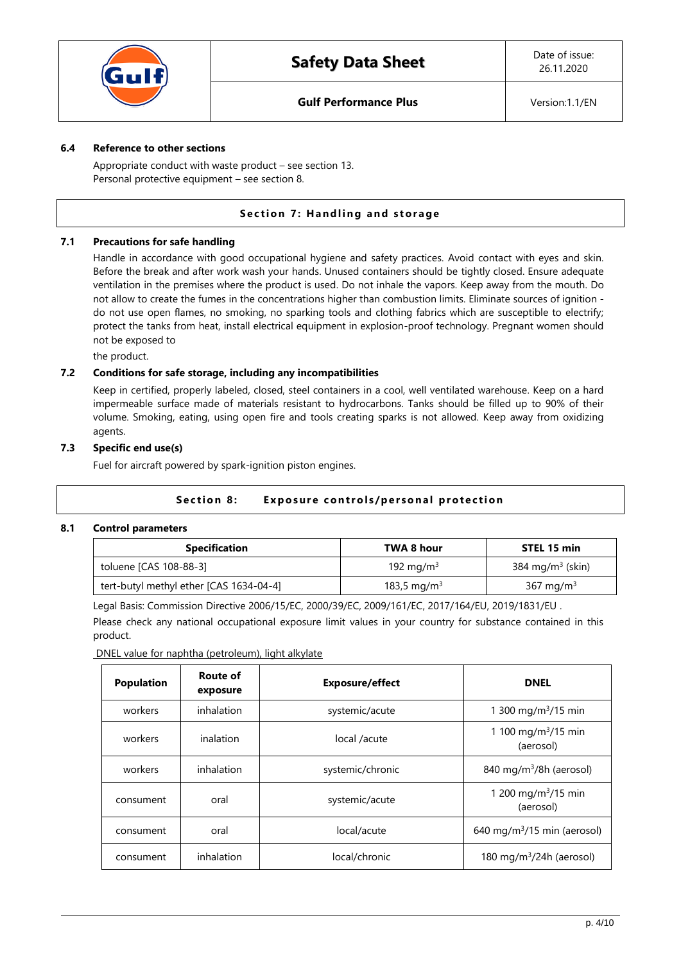

## **6.4 Reference to other sections**

Appropriate conduct with waste product – see section 13. Personal protective equipment – see section 8.

## **Section 7: Handling and storage**

## **7.1 Precautions for safe handling**

Handle in accordance with good occupational hygiene and safety practices. Avoid contact with eyes and skin. Before the break and after work wash your hands. Unused containers should be tightly closed. Ensure adequate ventilation in the premises where the product is used. Do not inhale the vapors. Keep away from the mouth. Do not allow to create the fumes in the concentrations higher than combustion limits. Eliminate sources of ignition do not use open flames, no smoking, no sparking tools and clothing fabrics which are susceptible to electrify; protect the tanks from heat, install electrical equipment in explosion-proof technology. Pregnant women should not be exposed to

the product.

## **7.2 Conditions for safe storage, including any incompatibilities**

Keep in certified, properly labeled, closed, steel containers in a cool, well ventilated warehouse. Keep on a hard impermeable surface made of materials resistant to hydrocarbons. Tanks should be filled up to 90% of their volume. Smoking, eating, using open fire and tools creating sparks is not allowed. Keep away from oxidizing agents.

## **7.3 Specific end use(s)**

Fuel for aircraft powered by spark-ignition piston engines.

## **Section 8:** Exposure controls/personal protection

## **8.1 Control parameters**

| <b>Specification</b>                    | TWA 8 hour              | STEL 15 min                  |
|-----------------------------------------|-------------------------|------------------------------|
| toluene [CAS 108-88-3]                  | 192 mg/m <sup>3</sup>   | 384 mg/m <sup>3</sup> (skin) |
| tert-butyl methyl ether [CAS 1634-04-4] | 183,5 mg/m <sup>3</sup> | 367 mg/m <sup>3</sup>        |

Legal Basis: Commission Directive 2006/15/EC, 2000/39/EC, 2009/161/EC, 2017/164/EU, 2019/1831/EU .

Please check any national occupational exposure limit values in your country for substance contained in this product.

DNEL value for naphtha (petroleum), light alkylate

| <b>Population</b> | Route of<br>exposure | <b>Exposure/effect</b> | <b>DNEL</b>                                  |
|-------------------|----------------------|------------------------|----------------------------------------------|
| workers           | inhalation           | systemic/acute         | 1 300 mg/m <sup>3</sup> /15 min              |
| workers           | inalation            | local /acute           | 1 100 mg/m <sup>3</sup> /15 min<br>(aerosol) |
| workers           | inhalation           | systemic/chronic       | 840 mg/m <sup>3</sup> /8h (aerosol)          |
| consument         | oral                 | systemic/acute         | 1 200 mg/m <sup>3</sup> /15 min<br>(aerosol) |
| consument         | oral                 | local/acute            | 640 mg/m $3/15$ min (aerosol)                |
| consument         | inhalation           | local/chronic          | 180 mg/m $3/24h$ (aerosol)                   |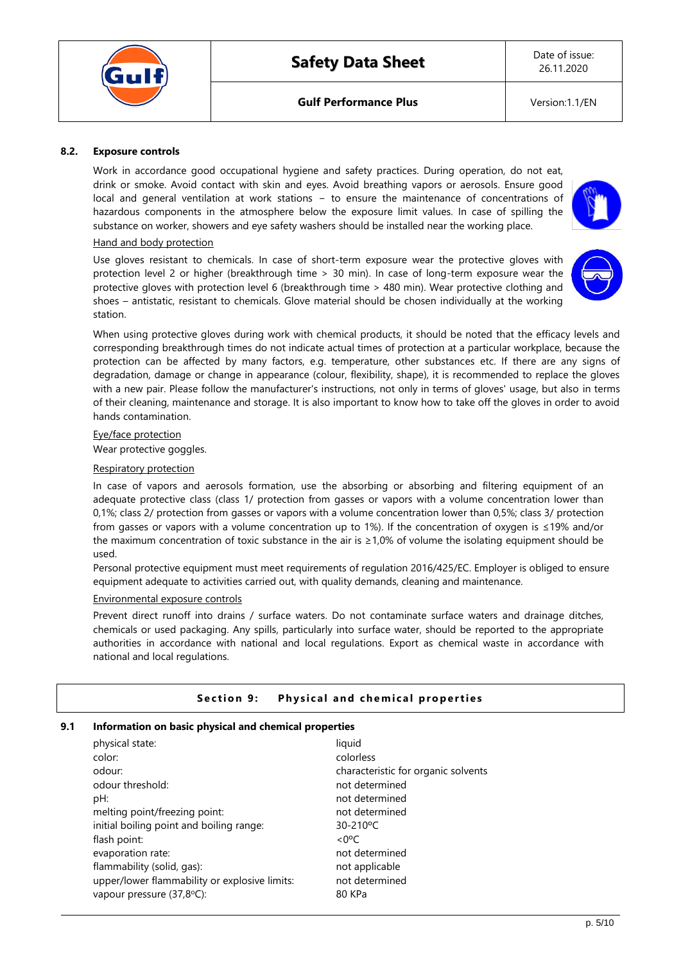Date of issue: 26.11.2020

## **8.2. Exposure controls**

Work in accordance good occupational hygiene and safety practices. During operation, do not eat, drink or smoke. Avoid contact with skin and eyes. Avoid breathing vapors or aerosols. Ensure good local and general ventilation at work stations − to ensure the maintenance of concentrations of hazardous components in the atmosphere below the exposure limit values. In case of spilling the substance on worker, showers and eye safety washers should be installed near the working place.

#### Hand and body protection

Use gloves resistant to chemicals. In case of short-term exposure wear the protective gloves with protection level 2 or higher (breakthrough time > 30 min). In case of long-term exposure wear the protective gloves with protection level 6 (breakthrough time > 480 min). Wear protective clothing and shoes – antistatic, resistant to chemicals. Glove material should be chosen individually at the working station.



When using protective gloves during work with chemical products, it should be noted that the efficacy levels and corresponding breakthrough times do not indicate actual times of protection at a particular workplace, because the protection can be affected by many factors, e.g. temperature, other substances etc. If there are any signs of degradation, damage or change in appearance (colour, flexibility, shape), it is recommended to replace the gloves with a new pair. Please follow the manufacturer's instructions, not only in terms of gloves' usage, but also in terms of their cleaning, maintenance and storage. It is also important to know how to take off the gloves in order to avoid hands contamination.

#### Eye/face protection

Wear protective goggles.

#### Respiratory protection

In case of vapors and aerosols formation, use the absorbing or absorbing and filtering equipment of an adequate protective class (class 1/ protection from gasses or vapors with a volume concentration lower than 0,1%; class 2/ protection from gasses or vapors with a volume concentration lower than 0,5%; class 3/ protection from gasses or vapors with a volume concentration up to 1%). If the concentration of oxygen is ≤19% and/or the maximum concentration of toxic substance in the air is ≥1,0% of volume the isolating equipment should be used.

Personal protective equipment must meet requirements of regulation 2016/425/EC. Employer is obliged to ensure equipment adequate to activities carried out, with quality demands, cleaning and maintenance.

#### Environmental exposure controls

Prevent direct runoff into drains / surface waters. Do not contaminate surface waters and drainage ditches, chemicals or used packaging. Any spills, particularly into surface water, should be reported to the appropriate authorities in accordance with national and local regulations. Export as chemical waste in accordance with national and local regulations.

## **Section 9:** Physical and chemical properties

# **9.1 Information on basic physical and chemical properties**

| physical state:                               | liquid                              |
|-----------------------------------------------|-------------------------------------|
| color:                                        | colorless                           |
| odour:                                        | characteristic for organic solvents |
| odour threshold:                              | not determined                      |
| pH:                                           | not determined                      |
| melting point/freezing point:                 | not determined                      |
| initial boiling point and boiling range:      | 30-210°C                            |
| flash point:                                  | $<$ 0°C                             |
| evaporation rate:                             | not determined                      |
| flammability (solid, gas):                    | not applicable                      |
| upper/lower flammability or explosive limits: | not determined                      |
| vapour pressure (37,8°C):                     | 80 KPa                              |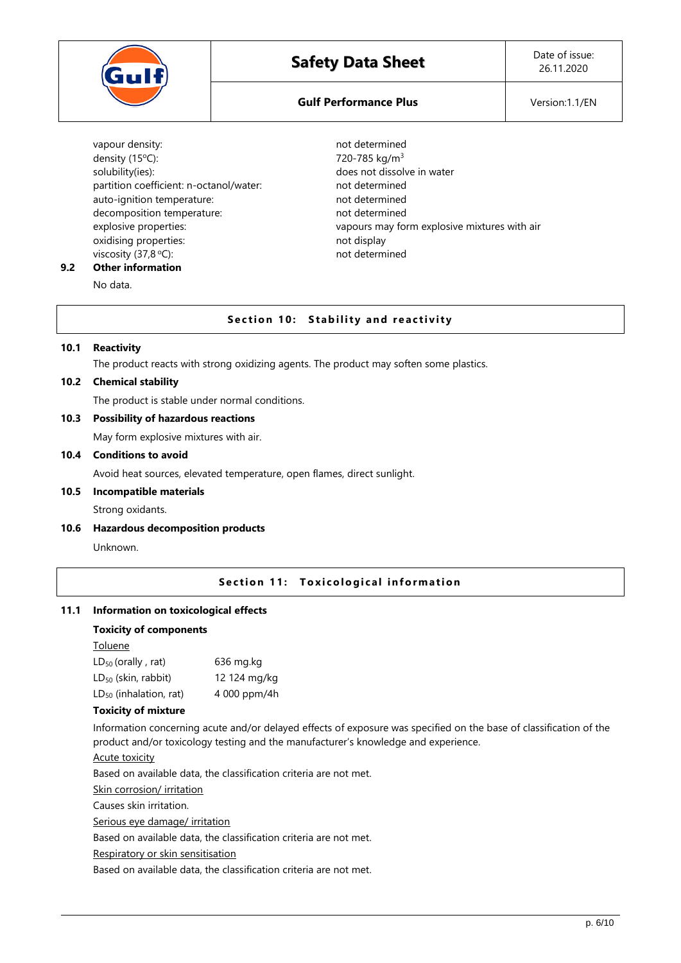

# **Gulf Performance Plus Version:1.1/EN**

vapour density: vapour determined density (15 $^{\circ}$ C): 720-785 kg/m<sup>3</sup> solubility(ies): does not dissolve in water partition coefficient: n-octanol/water: not determined auto-ignition temperature: not determined decomposition temperature: not determined oxidising properties: not display viscosity (37,8 °C): not determined

explosive properties: vapours may form explosive mixtures with air

#### **9.2 Other information** No data.

**Section 10: Stability and reactivity** 

## **10.1 Reactivity**

The product reacts with strong oxidizing agents. The product may soften some plastics.

## **10.2 Chemical stability**

The product is stable under normal conditions.

## **10.3 Possibility of hazardous reactions**

May form explosive mixtures with air.

#### **10.4 Conditions to avoid**

Avoid heat sources, elevated temperature, open flames, direct sunlight.

## **10.5 Incompatible materials**

Strong oxidants.

## **10.6 Hazardous decomposition products**

Unknown.

## **Section 11: Toxicological information**

## **11.1 Information on toxicological effects**

#### **Toxicity of components**

Toluene

| $LD_{50}$ (orally, rat)     | 636 mg.kg    |
|-----------------------------|--------------|
| $LD_{50}$ (skin, rabbit)    | 12 124 mg/kg |
| $LD_{50}$ (inhalation, rat) | 4 000 ppm/4h |

## **Toxicity of mixture**

Information concerning acute and/or delayed effects of exposure was specified on the base of classification of the product and/or toxicology testing and the manufacturer's knowledge and experience.

#### Acute toxicity

Based on available data, the classification criteria are not met.

Skin corrosion/ irritation

Causes skin irritation.

Serious eye damage/ irritation

Based on available data, the classification criteria are not met.

Respiratory or skin sensitisation

Based on available data, the classification criteria are not met.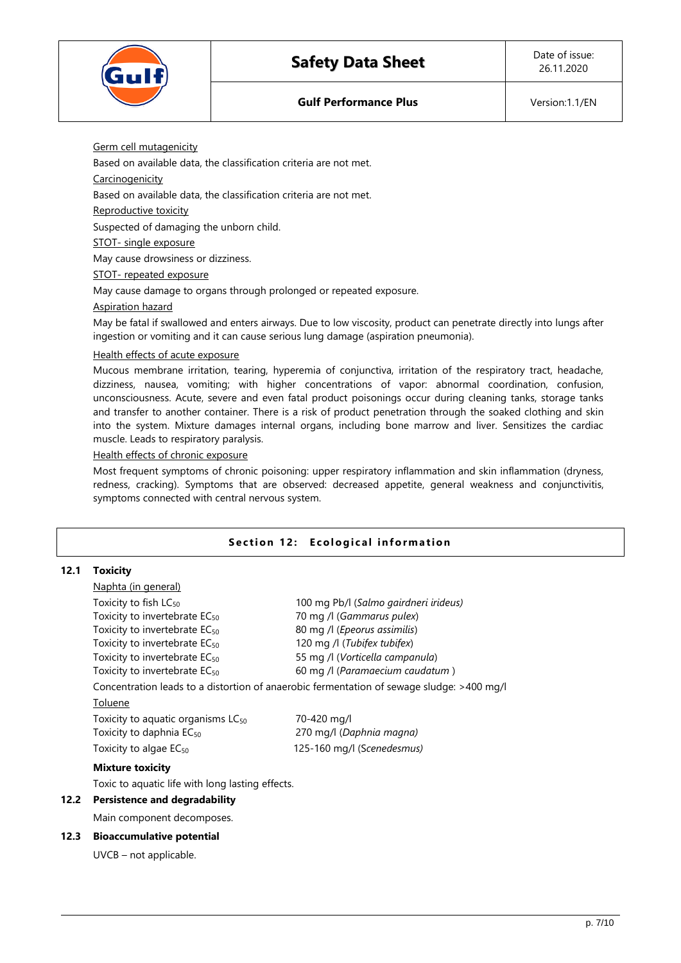

Germ cell mutagenicity

Based on available data, the classification criteria are not met.

**Carcinogenicity** 

Based on available data, the classification criteria are not met.

Reproductive toxicity

Suspected of damaging the unborn child.

STOT- single exposure

May cause drowsiness or dizziness.

STOT- repeated exposure

May cause damage to organs through prolonged or repeated exposure.

## Aspiration hazard

May be fatal if swallowed and enters airways. Due to low viscosity, product can penetrate directly into lungs after ingestion or vomiting and it can cause serious lung damage (aspiration pneumonia).

## Health effects of acute exposure

Mucous membrane irritation, tearing, hyperemia of conjunctiva, irritation of the respiratory tract, headache, dizziness, nausea, vomiting; with higher concentrations of vapor: abnormal coordination, confusion, unconsciousness. Acute, severe and even fatal product poisonings occur during cleaning tanks, storage tanks and transfer to another container. There is a risk of product penetration through the soaked clothing and skin into the system. Mixture damages internal organs, including bone marrow and liver. Sensitizes the cardiac muscle. Leads to respiratory paralysis.

## Health effects of chronic exposure

Most frequent symptoms of chronic poisoning: upper respiratory inflammation and skin inflammation (dryness, redness, cracking). Symptoms that are observed: decreased appetite, general weakness and conjunctivitis, symptoms connected with central nervous system.

# **Section 12: Ecological information**

## **12.1 Toxicity**

| <u>Naphta (in general)</u>                       |                                                                                           |
|--------------------------------------------------|-------------------------------------------------------------------------------------------|
| Toxicity to fish $LC_{50}$                       | 100 mg Pb/l (Salmo gairdneri irideus)                                                     |
| Toxicity to invertebrate EC <sub>50</sub>        | 70 mg /l (Gammarus pulex)                                                                 |
| Toxicity to invertebrate EC <sub>50</sub>        | 80 mg /l (Epeorus assimilis)                                                              |
| Toxicity to invertebrate EC <sub>50</sub>        | 120 mg /l (Tubifex tubifex)                                                               |
| Toxicity to invertebrate EC <sub>50</sub>        | 55 mg /l (Vorticella campanula)                                                           |
| Toxicity to invertebrate EC <sub>50</sub>        | 60 mg /l (Paramaecium caudatum)                                                           |
|                                                  | Concentration leads to a distortion of anaerobic fermentation of sewage sludge: >400 mg/l |
| Toluene                                          |                                                                                           |
| Toxicity to aquatic organisms $LC_{50}$          | 70-420 mg/l                                                                               |
| Toxicity to daphnia $EC_{50}$                    | 270 mg/l (Daphnia magna)                                                                  |
| Toxicity to algae $EC_{50}$                      | 125-160 mg/l (Scenedesmus)                                                                |
| <b>Mixture toxicity</b>                          |                                                                                           |
| Toxic to aquatic life with long lasting effects. |                                                                                           |

# **12.2 Persistence and degradability**

Main component decomposes.

# **12.3 Bioaccumulative potential**

UVCB – not applicable.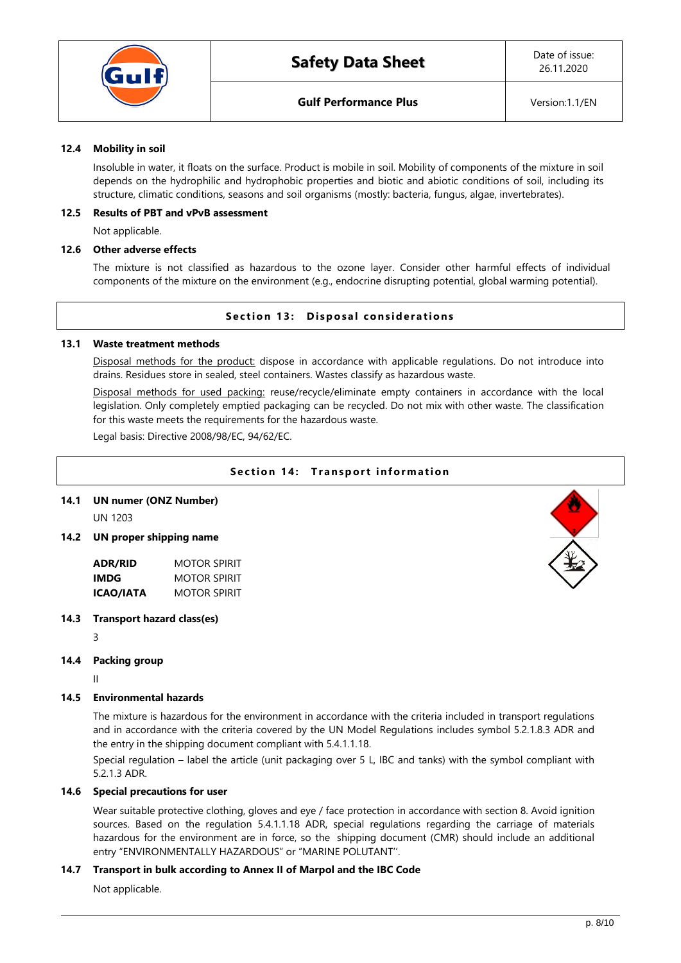

## **12.4 Mobility in soil**

Insoluble in water, it floats on the surface. Product is mobile in soil. Mobility of components of the mixture in soil depends on the hydrophilic and hydrophobic properties and biotic and abiotic conditions of soil, including its structure, climatic conditions, seasons and soil organisms (mostly: bacteria, fungus, algae, invertebrates).

## **12.5 Results of PBT and vPvB assessment**

Not applicable.

## **12.6 Other adverse effects**

The mixture is not classified as hazardous to the ozone layer. Consider other harmful effects of individual components of the mixture on the environment (e.g., endocrine disrupting potential, global warming potential).

## **Section 13: Disposal considerations**

## **13.1 Waste treatment methods**

Disposal methods for the product: dispose in accordance with applicable regulations. Do not introduce into drains. Residues store in sealed, steel containers. Wastes classify as hazardous waste.

Disposal methods for used packing: reuse/recycle/eliminate empty containers in accordance with the local legislation. Only completely emptied packaging can be recycled. Do not mix with other waste. The classification for this waste meets the requirements for the hazardous waste.

Legal basis: Directive 2008/98/EC, 94/62/EC.

# **Section 14: Transport information**

## **14.1 UN numer (ONZ Number)**

UN 1203

# **14.2 UN proper shipping name**

| ADR/RID   | MOTOR SPIRIT        |
|-----------|---------------------|
| IMDG      | <b>MOTOR SPIRIT</b> |
| ICAO/IATA | <b>MOTOR SPIRIT</b> |

## **14.3 Transport hazard class(es)**

3

# **14.4 Packing group**

II

## **14.5 Environmental hazards**

The mixture is hazardous for the environment in accordance with the criteria included in transport regulations and in accordance with the criteria covered by the UN Model Regulations includes symbol 5.2.1.8.3 ADR and the entry in the shipping document compliant with 5.4.1.1.18.

Special regulation – label the article (unit packaging over 5 L, IBC and tanks) with the symbol compliant with 5.2.1.3 ADR.

## **14.6 Special precautions for user**

Wear suitable protective clothing, gloves and eye / face protection in accordance with section 8. Avoid ignition sources. Based on the regulation 5.4.1.1.18 ADR, special regulations regarding the carriage of materials hazardous for the environment are in force, so the shipping document (CMR) should include an additional entry "ENVIRONMENTALLY HAZARDOUS" or "MARINE POLUTANT''.

## **14.7 Transport in bulk according to Annex II of Marpol and the IBC Code**

Not applicable.

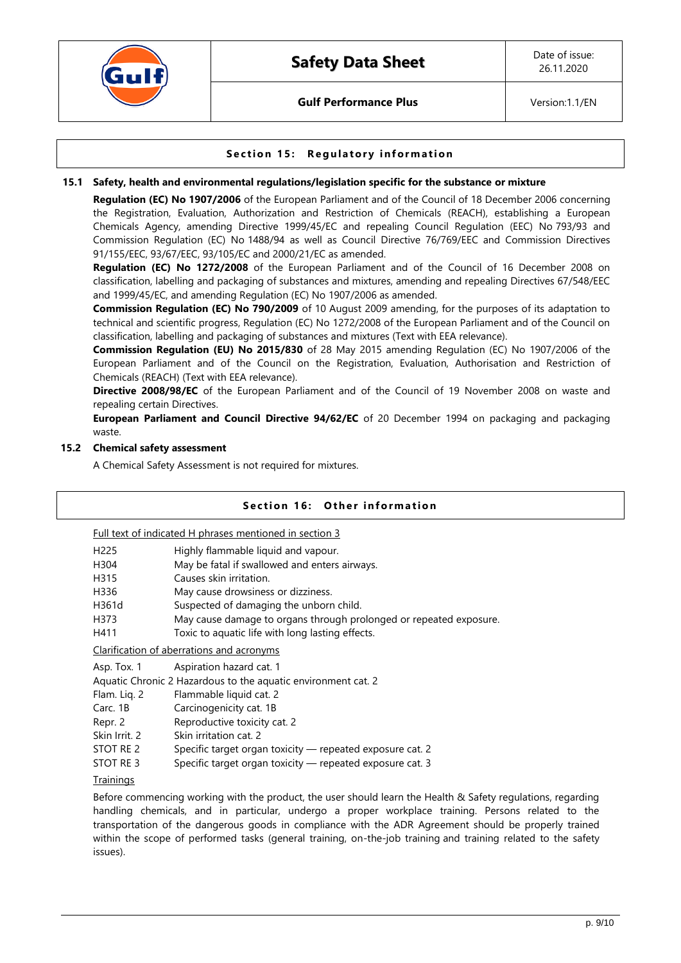

**Gulf Performance Plus Version:1.1/EN** 

# **Section 15: Regulatory information**

## **15.1 Safety, health and environmental regulations/legislation specific for the substance or mixture**

**Regulation (EC) No 1907/2006** of the European Parliament and of the Council of 18 December 2006 concerning the Registration, Evaluation, Authorization and Restriction of Chemicals (REACH), establishing a European Chemicals Agency, amending Directive 1999/45/EC and repealing Council Regulation (EEC) No 793/93 and Commission Regulation (EC) No 1488/94 as well as Council Directive 76/769/EEC and Commission Directives 91/155/EEC, 93/67/EEC, 93/105/EC and 2000/21/EC as amended.

**Regulation (EC) No 1272/2008** of the European Parliament and of the Council of 16 December 2008 on classification, labelling and packaging of substances and mixtures, amending and repealing Directives 67/548/EEC and 1999/45/EC, and amending Regulation (EC) No 1907/2006 as amended.

**Commission Regulation (EC) No 790/2009** of 10 August 2009 amending, for the purposes of its adaptation to technical and scientific progress, Regulation (EC) No 1272/2008 of the European Parliament and of the Council on classification, labelling and packaging of substances and mixtures (Text with EEA relevance).

**Commission Regulation (EU) No 2015/830** of 28 May 2015 amending Regulation (EC) No 1907/2006 of the European Parliament and of the Council on the Registration, Evaluation, Authorisation and Restriction of Chemicals (REACH) (Text with EEA relevance).

**Directive 2008/98/EC** of the European Parliament and of the Council of 19 November 2008 on waste and repealing certain Directives.

**European Parliament and Council Directive 94/62/EC** of 20 December 1994 on packaging and packaging waste.

## **15.2 Chemical safety assessment**

A Chemical Safety Assessment is not required for mixtures.

## **Section 16: Other information**

Full text of indicated H phrases mentioned in section 3

| H <sub>225</sub> | Highly flammable liquid and vapour.                                |
|------------------|--------------------------------------------------------------------|
| H304             | May be fatal if swallowed and enters airways.                      |
| H315             | Causes skin irritation.                                            |
| H336             | May cause drowsiness or dizziness.                                 |
| H361d            | Suspected of damaging the unborn child.                            |
| H373             | May cause damage to organs through prolonged or repeated exposure. |
| H411             | Toxic to aquatic life with long lasting effects.                   |
|                  | Clarification of aberrations and acronyms                          |
| Asp. Tox. 1      | Aspiration hazard cat. 1                                           |
|                  | Aquatic Chronic 2 Hazardous to the aquatic environment cat. 2      |

Flam. Liq. 2 Flammable liquid cat. 2

Carc. 1B Carcinogenicity cat. 1B

Repr. 2 Reproductive toxicity cat. 2

Skin Irrit. 2 Skin irritation cat. 2

STOT RE 2 Specific target organ toxicity — repeated exposure cat. 2

STOT RE 3 Specific target organ toxicity — repeated exposure cat. 3

# **Trainings**

Before commencing working with the product, the user should learn the Health & Safety regulations, regarding handling chemicals, and in particular, undergo a proper workplace training. Persons related to the transportation of the dangerous goods in compliance with the ADR Agreement should be properly trained within the scope of performed tasks (general training, on-the-job training and training related to the safety issues).